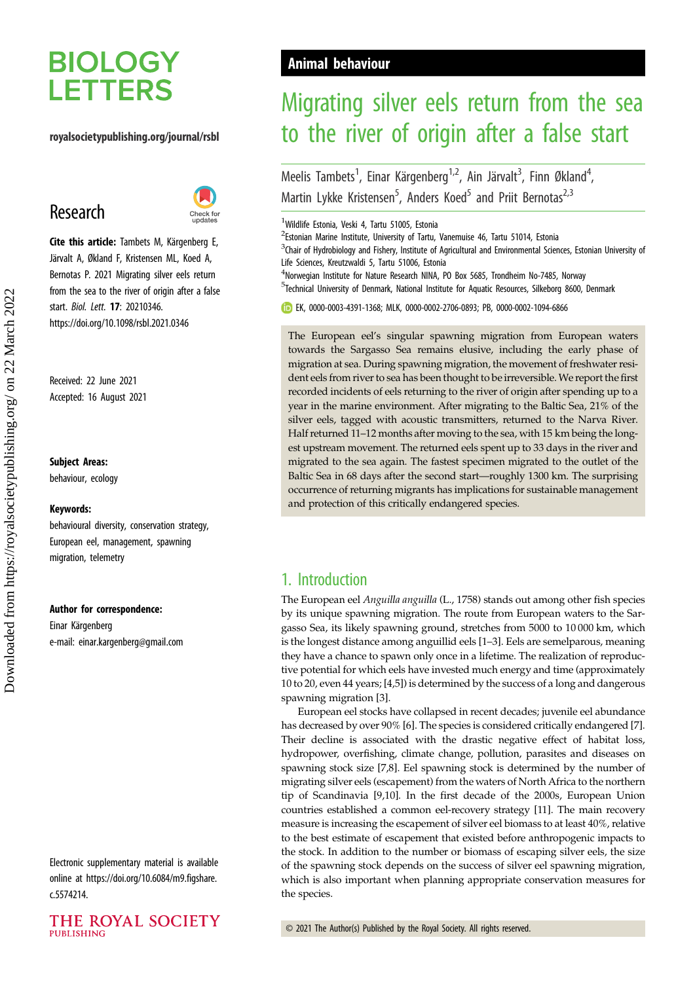# **BIOLOGY LETTERS**

## royalsocietypublishing.org/journal/rsbl

# Research



Cite this article: Tambets M, Kärgenberg E Järvalt A, Økland F, Kristensen ML, Koed A, Bernotas P. 2021 Migrating silver eels return from the sea to the river of origin after a false start. Biol. Lett. 17: 20210346. https://doi.org/10.1098/rsbl.2021.0346

Received: 22 June 2021 Accepted: 16 August 2021

#### Subject Areas:

behaviour, ecology

#### Keywords:

behavioural diversity, conservation strategy, European eel, management, spawning migration, telemetry

#### Author for correspondence:

Einar Kärgenberg e-mail: [einar.kargenberg@gmail.com](mailto:einar.kargenberg@gmail.com)

Electronic supplementary material is available online at [https://doi.org/10.6084/m9.figshare.](https://doi.org/10.6084/m9.figshare.c.5574214) [c.5574214.](https://doi.org/10.6084/m9.figshare.c.5574214)

### THE ROYAL SOCIETY **PUBLISHING**

## Animal behaviour

# Migrating silver eels return from the sea to the river of origin after a false start

.<br>,

Meelis Tambets<sup>1</sup>, Einar Kärgenberg<sup>1,2</sup>, Ain Järvalt<sup>3</sup>, Finn Økland<sup>4</sup> Martin Lykke Kristensen<sup>5</sup>, Anders Koed<sup>5</sup> and Priit Bernotas<sup>2,3</sup>

<sup>1</sup> Wildlife Estonia, Veski 4, Tartu 51005, Estonia

<sup>2</sup> Estonian Marine Institute, University of Tartu, Vanemuise 46, Tartu 51014, Estonia

 ${}^{3}$ Chair of Hydrobiology and Fishery, Institute of Agricultural and Environmental Sciences, Estonian University of Life Sciences, Kreutzwaldi 5, Tartu 51006, Estonia

<sup>4</sup>Norwegian Institute for Nature Research NINA, PO Box 5685, Trondheim No-7485, Norway <sup>5</sup>Technical University of Denmark, National Institute for Aquatic Resources, Silkeborg 8600, Denmark

EK, [0000-0003-4391-1368](http://orcid.org/0000-0003-4391-1368); MLK, [0000-0002-2706-0893;](http://orcid.org/0000-0002-2706-0893) PB, [0000-0002-1094-6866](http://orcid.org/0000-0002-1094-6866)

The European eel's singular spawning migration from European waters towards the Sargasso Sea remains elusive, including the early phase of migration at sea. During spawning migration, the movement of freshwater resident eels from river to sea has been thought to be irreversible.We report the first recorded incidents of eels returning to the river of origin after spending up to a year in the marine environment. After migrating to the Baltic Sea, 21% of the silver eels, tagged with acoustic transmitters, returned to the Narva River. Half returned 11–12 months after moving to the sea, with 15 km being the longest upstream movement. The returned eels spent up to 33 days in the river and migrated to the sea again. The fastest specimen migrated to the outlet of the Baltic Sea in 68 days after the second start—roughly 1300 km. The surprising occurrence of returning migrants has implications for sustainable management and protection of this critically endangered species.

## 1. Introduction

The European eel Anguilla anguilla (L., 1758) stands out among other fish species by its unique spawning migration. The route from European waters to the Sargasso Sea, its likely spawning ground, stretches from 5000 to 10 000 km, which is the longest distance among anguillid eels [\[1](#page-6-0)–[3](#page-6-0)]. Eels are semelparous, meaning they have a chance to spawn only once in a lifetime. The realization of reproductive potential for which eels have invested much energy and time (approximately 10 to 20, even 44 years; [[4,5\]](#page-6-0)) is determined by the success of a long and dangerous spawning migration [\[3\]](#page-6-0).

European eel stocks have collapsed in recent decades; juvenile eel abundance has decreased by over 90% [[6](#page-6-0)]. The species is considered critically endangered [\[7\]](#page-6-0). Their decline is associated with the drastic negative effect of habitat loss, hydropower, overfishing, climate change, pollution, parasites and diseases on spawning stock size [\[7,8](#page-6-0)]. Eel spawning stock is determined by the number of migrating silver eels (escapement) from the waters of North Africa to the northern tip of Scandinavia [[9](#page-6-0),[10\]](#page-6-0). In the first decade of the 2000s, European Union countries established a common eel-recovery strategy [[11](#page-6-0)]. The main recovery measure is increasing the escapement of silver eel biomass to at least 40%, relative to the best estimate of escapement that existed before anthropogenic impacts to the stock. In addition to the number or biomass of escaping silver eels, the size of the spawning stock depends on the success of silver eel spawning migration, which is also important when planning appropriate conservation measures for the species.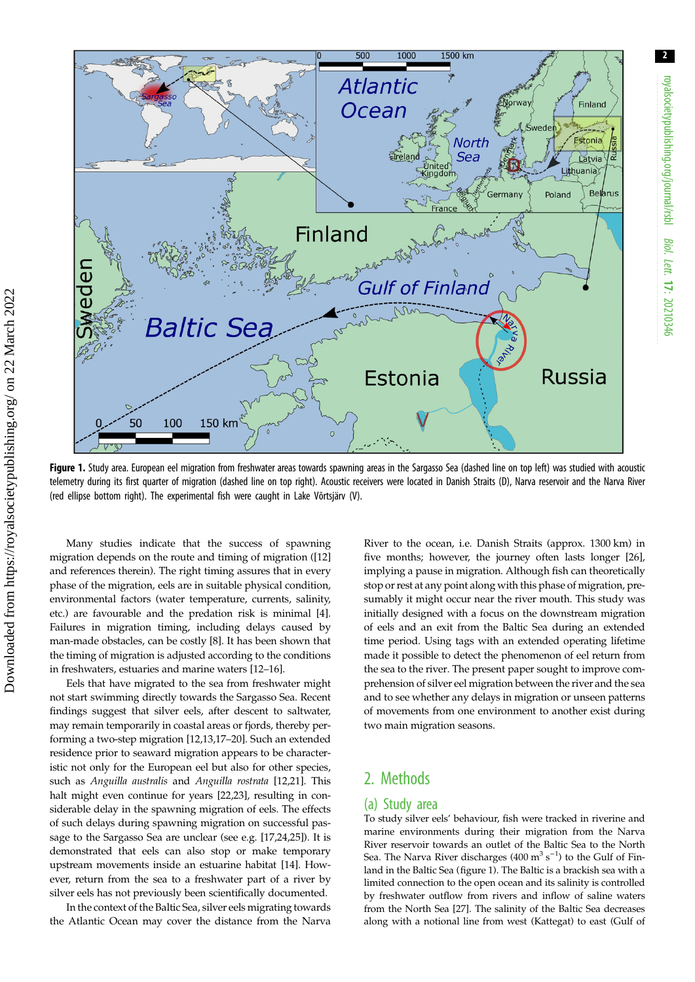

Figure 1. Study area. European eel migration from freshwater areas towards spawning areas in the Sargasso Sea (dashed line on top left) was studied with acoustic telemetry during its first quarter of migration (dashed line on top right). Acoustic receivers were located in Danish Straits (D), Narva reservoir and the Narva River (red ellipse bottom right). The experimental fish were caught in Lake Võrtsjärv (V).

Many studies indicate that the success of spawning migration depends on the route and timing of migration ([[12\]](#page-6-0) and references therein). The right timing assures that in every phase of the migration, eels are in suitable physical condition, environmental factors (water temperature, currents, salinity, etc.) are favourable and the predation risk is minimal [[4](#page-6-0)]. Failures in migration timing, including delays caused by man-made obstacles, can be costly [\[8\]](#page-6-0). It has been shown that the timing of migration is adjusted according to the conditions in freshwaters, estuaries and marine waters [\[12](#page-6-0)–[16](#page-6-0)].

Eels that have migrated to the sea from freshwater might not start swimming directly towards the Sargasso Sea. Recent findings suggest that silver eels, after descent to saltwater, may remain temporarily in coastal areas or fjords, thereby performing a two-step migration [[12](#page-6-0),[13,17](#page-6-0)–[20](#page-6-0)]. Such an extended residence prior to seaward migration appears to be characteristic not only for the European eel but also for other species, such as Anguilla australis and Anguilla rostrata [\[12,21](#page-6-0)]. This halt might even continue for years [[22,23](#page-6-0)], resulting in considerable delay in the spawning migration of eels. The effects of such delays during spawning migration on successful passage to the Sargasso Sea are unclear (see e.g. [\[17,24,25](#page-6-0)]). It is demonstrated that eels can also stop or make temporary upstream movements inside an estuarine habitat [[14\]](#page-6-0). However, return from the sea to a freshwater part of a river by silver eels has not previously been scientifically documented.

In the context of the Baltic Sea, silver eels migrating towards the Atlantic Ocean may cover the distance from the Narva River to the ocean, i.e. Danish Straits (approx. 1300 km) in five months; however, the journey often lasts longer [[26\]](#page-6-0), implying a pause in migration. Although fish can theoretically stop or rest at any point along with this phase of migration, presumably it might occur near the river mouth. This study was initially designed with a focus on the downstream migration of eels and an exit from the Baltic Sea during an extended time period. Using tags with an extended operating lifetime made it possible to detect the phenomenon of eel return from the sea to the river. The present paper sought to improve comprehension of silver eel migration between the river and the sea and to see whether any delays in migration or unseen patterns of movements from one environment to another exist during two main migration seasons.

## 2. Methods

### (a) Study area

To study silver eels' behaviour, fish were tracked in riverine and marine environments during their migration from the Narva River reservoir towards an outlet of the Baltic Sea to the North Sea. The Narva River discharges  $(400 \text{ m}^3 \text{ s}^{-1})$  to the Gulf of Finland in the Baltic Sea (figure 1). The Baltic is a brackish sea with a limited connection to the open ocean and its salinity is controlled by freshwater outflow from rivers and inflow of saline waters from the North Sea [[27](#page-6-0)]. The salinity of the Baltic Sea decreases along with a notional line from west (Kattegat) to east (Gulf of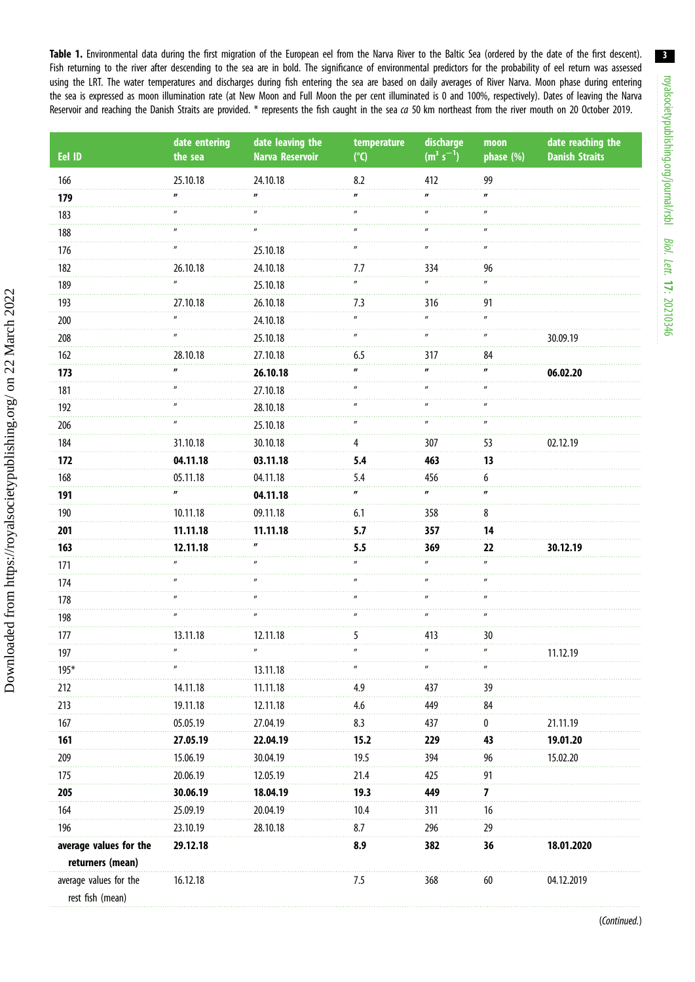<span id="page-2-0"></span>Table 1. Environmental data during the first migration of the European eel from the Narva River to the Baltic Sea (ordered by the date of the first descent). Fish returning to the river after descending to the sea are in bold. The significance of environmental predictors for the probability of eel return was assessed using the LRT. The water temperatures and discharges during fish entering the sea are based on daily averages of River Narva. Moon phase during entering the sea is expressed as moon illumination rate (at New Moon and Full Moon the per cent illuminated is 0 and 100%, respectively). Dates of leaving the Narva Reservoir and reaching the Danish Straits are provided. \* represents the fish caught in the sea ca 50 km northeast from the river mouth on 20 October 2019.

| Eel ID                 | date entering<br>the sea | date leaving the<br><b>Narva Reservoir</b> | temperature<br>$(^{\circ}C)$ | discharge<br>$(m^3 s^{-1})$ | moon<br>phase (%)   | date reaching the<br><b>Danish Straits</b> |
|------------------------|--------------------------|--------------------------------------------|------------------------------|-----------------------------|---------------------|--------------------------------------------|
| 166                    | 25.10.18                 | 24.10.18                                   | 8.2                          | 412                         | 99                  |                                            |
| 179                    |                          |                                            |                              |                             |                     |                                            |
| 183                    |                          |                                            |                              |                             |                     |                                            |
| 188                    |                          |                                            |                              |                             |                     |                                            |
| 176                    |                          | 25.10.18                                   |                              |                             |                     |                                            |
| 182                    | 26.10.18                 | 24.10.18                                   | 7.7                          | 334                         | 96                  |                                            |
| 189                    | $\mathbf{u}$             | 25.10.18                                   | $\mathbf{u}$                 | $\mathbf{u}$                | $\mathbf{u}$        |                                            |
| 193                    | 27.10.18                 | 26.10.18                                   | 7.3                          | 316                         | 91                  |                                            |
| 200                    |                          | 24.10.18                                   | $\mathbf{u}$                 |                             | $\mathbf{u}$        |                                            |
| 208                    |                          | 25.10.18                                   |                              |                             |                     | 30.09.19                                   |
| 162                    | 28.10.18                 | 27.10.18                                   | 6.5                          | 317                         | 84                  |                                            |
| 173                    |                          | 26.10.18                                   |                              |                             |                     | 06.02.20                                   |
| 181                    |                          | 27.10.18                                   |                              |                             |                     |                                            |
| 192                    |                          | 28.10.18                                   |                              |                             |                     |                                            |
| 206                    |                          | 25.10.18                                   |                              |                             |                     |                                            |
| 184                    | 31.10.18                 | 30.10.18                                   | 4                            | 307                         | 53                  | 02.12.19                                   |
| 172                    | 04.11.18                 | 03.11.18                                   | 5.4                          | 463                         | 13                  |                                            |
| 168                    | 05.11.18                 | 04.11.18                                   | 5.4                          | 456                         | 6                   |                                            |
| 191                    | $\boldsymbol{\eta}$      | 04.11.18                                   | $\boldsymbol{H}$             | $\mathbf{r}$                |                     |                                            |
| 190                    | 10.11.18                 | 09.11.18                                   | 6.1                          | 358                         | 8                   |                                            |
| 201                    | 11.11.18                 | 11.11.18                                   | 5.7                          | 357                         | 14                  |                                            |
| 163                    | 12.11.18                 |                                            | 5.5                          | 369                         | 22                  | 30.12.19                                   |
| 171                    |                          |                                            |                              |                             |                     |                                            |
| 174                    |                          |                                            |                              |                             |                     |                                            |
| 178                    |                          |                                            |                              |                             |                     |                                            |
| 198                    |                          |                                            |                              |                             |                     |                                            |
| 177                    | 13.11.18                 | 12.11.18                                   | 5                            | 413                         | 30                  |                                            |
| 197                    |                          | $\boldsymbol{\mathsf{u}}$                  | $^{\prime}$                  |                             | $\pmb{\mathit{II}}$ | 11.12.19                                   |
| $195*$                 |                          | 13.11.18                                   |                              |                             |                     |                                            |
| 212                    | 14.11.18                 | 11.11.18                                   | 4.9                          | 437                         | 39                  |                                            |
| 213                    | 19.11.18                 | 12.11.18                                   | 4.6                          | 449                         | 84                  |                                            |
| 167                    | 05.05.19                 | 27.04.19                                   | 8.3                          | 437                         | 0                   | 21.11.19                                   |
| 161                    | 27.05.19                 | 22.04.19                                   | 15.2                         | 229                         | 43                  | 19.01.20                                   |
| 209                    | 15.06.19                 | 30.04.19                                   | 19.5                         | 394                         | 96                  | 15.02.20                                   |
| 175                    | 20.06.19                 | 12.05.19                                   | 21.4                         | 425                         | 91                  |                                            |
| 205                    | 30.06.19                 | 18.04.19                                   | 19.3                         | 449                         | 7                   |                                            |
| 164                    | 25.09.19                 | 20.04.19                                   | 10.4                         | 311                         | 16                  |                                            |
| 196                    | 23.10.19                 | 28.10.18                                   | 8.7                          | 296                         | 29                  |                                            |
| average values for the | 29.12.18                 |                                            | 8.9                          | 382                         | 36                  | 18.01.2020                                 |
| returners (mean)       |                          |                                            |                              |                             |                     |                                            |
| average values for the | 16.12.18                 |                                            | 7.5                          | 368                         | 60                  | 04.12.2019                                 |
| rest fish (mean)       |                          |                                            |                              |                             |                     |                                            |

3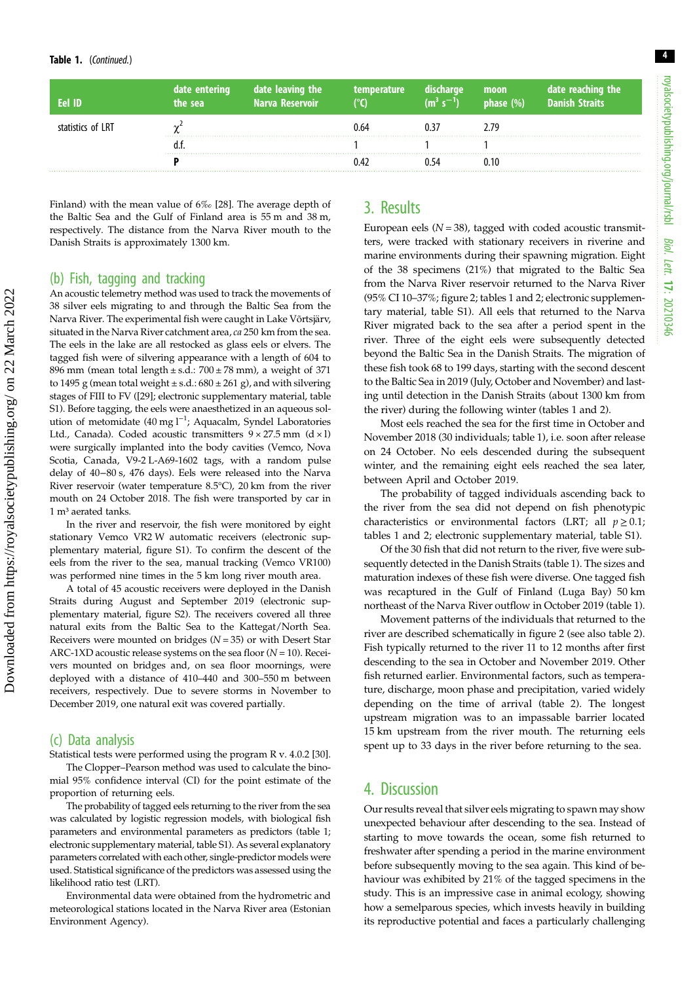| Eel ID            | date entering<br>the sea | date leaving the<br><b>Narva Reservoir</b> | temperature <b>\</b> | discharge<br>$(m^3 s^{-1})$ | moon<br>$\sqrt{p}$ phase $(\%)^{\dagger}$ | date reaching the<br>Danish Straits |
|-------------------|--------------------------|--------------------------------------------|----------------------|-----------------------------|-------------------------------------------|-------------------------------------|
| statistics of LRT |                          |                                            | () 64                |                             | 2 79                                      |                                     |
|                   |                          |                                            |                      |                             |                                           |                                     |
|                   |                          |                                            |                      |                             |                                           |                                     |

Finland) with the mean value of 6‰ [\[28\]](#page-6-0). The average depth of the Baltic Sea and the Gulf of Finland area is 55 m and 38 m, respectively. The distance from the Narva River mouth to the Danish Straits is approximately 1300 km.

#### (b) Fish, tagging and tracking

An acoustic telemetry method was used to track the movements of 38 silver eels migrating to and through the Baltic Sea from the Narva River. The experimental fish were caught in Lake Võrtsjärv, situated in the Narva River catchment area, ca 250 km from the sea. The eels in the lake are all restocked as glass eels or elvers. The tagged fish were of silvering appearance with a length of 604 to 896 mm (mean total length  $\pm$  s.d.:  $700 \pm 78$  mm), a weight of 371 to 1495 g (mean total weight  $\pm$  s.d.: 680  $\pm$  261 g), and with silvering stages of FIII to FV ([\[29](#page-6-0)]; electronic supplementary material, table S1). Before tagging, the eels were anaesthetized in an aqueous solution of metomidate (40 mg l<sup>-1</sup>; Aquacalm, Syndel Laboratories Ltd., Canada). Coded acoustic transmitters  $9 \times 27.5$  mm (d  $\times$  l) were surgically implanted into the body cavities (Vemco, Nova Scotia, Canada, V9-2 L-A69-1602 tags, with a random pulse delay of 40−80 s, 476 days). Eels were released into the Narva River reservoir (water temperature 8.5°C), 20 km from the river mouth on 24 October 2018. The fish were transported by car in 1 m<sup>3</sup> aerated tanks.

In the river and reservoir, the fish were monitored by eight stationary Vemco VR2 W automatic receivers (electronic supplementary material, figure S1). To confirm the descent of the eels from the river to the sea, manual tracking (Vemco VR100) was performed nine times in the 5 km long river mouth area.

A total of 45 acoustic receivers were deployed in the Danish Straits during August and September 2019 (electronic supplementary material, figure S2). The receivers covered all three natural exits from the Baltic Sea to the Kattegat/North Sea. Receivers were mounted on bridges  $(N = 35)$  or with Desert Star ARC-1XD acoustic release systems on the sea floor  $(N = 10)$ . Receivers mounted on bridges and, on sea floor moornings, were deployed with a distance of 410–440 and 300–550 m between receivers, respectively. Due to severe storms in November to December 2019, one natural exit was covered partially.

## (c) Data analysis

Downloaded from https://royalsocietypublishing.org/ on 22 March 2022

Downloaded from https://royalsocietypublishing.org/ on 22 March 2022

Statistical tests were performed using the program R v. 4.0.2 [\[30\]](#page-6-0).

The Clopper–Pearson method was used to calculate the binomial 95% confidence interval (CI) for the point estimate of the proportion of returning eels.

The probability of tagged eels returning to the river from the sea was calculated by logistic regression models, with biological fish parameters and environmental parameters as predictors [\(table 1](#page-2-0); electronic supplementary material, table S1). As several explanatory parameters correlated with each other, single-predictor models were used. Statistical significance of the predictors was assessed using the likelihood ratio test (LRT).

Environmental data were obtained from the hydrometric and meteorological stations located in the Narva River area (Estonian Environment Agency).

## 3. Results

European eels  $(N = 38)$ , tagged with coded acoustic transmitters, were tracked with stationary receivers in riverine and marine environments during their spawning migration. Eight of the 38 specimens (21%) that migrated to the Baltic Sea from the Narva River reservoir returned to the Narva River (95% CI 10–37%; [figure 2](#page-4-0); tables [1](#page-2-0) and [2](#page-5-0); electronic supplementary material, table S1). All eels that returned to the Narva River migrated back to the sea after a period spent in the river. Three of the eight eels were subsequently detected beyond the Baltic Sea in the Danish Straits. The migration of these fish took 68 to 199 days, starting with the second descent to the Baltic Sea in 2019 (July, October and November) and lasting until detection in the Danish Straits (about 1300 km from the river) during the following winter (tables [1](#page-2-0) and [2\)](#page-5-0).

Most eels reached the sea for the first time in October and November 2018 (30 individuals; [table 1\)](#page-2-0), i.e. soon after release on 24 October. No eels descended during the subsequent winter, and the remaining eight eels reached the sea later, between April and October 2019.

The probability of tagged individuals ascending back to the river from the sea did not depend on fish phenotypic characteristics or environmental factors (LRT; all  $p \ge 0.1$ ; tables [1](#page-2-0) and [2;](#page-5-0) electronic supplementary material, table S1).

Of the 30 fish that did not return to the river, five were subsequently detected in the Danish Straits [\(table 1\)](#page-2-0). The sizes and maturation indexes of these fish were diverse. One tagged fish was recaptured in the Gulf of Finland (Luga Bay) 50 km northeast of the Narva River outflow in October 2019 [\(table 1\)](#page-2-0).

Movement patterns of the individuals that returned to the river are described schematically in [figure 2](#page-4-0) (see also [table 2\)](#page-5-0). Fish typically returned to the river 11 to 12 months after first descending to the sea in October and November 2019. Other fish returned earlier. Environmental factors, such as temperature, discharge, moon phase and precipitation, varied widely depending on the time of arrival [\(table 2](#page-5-0)). The longest upstream migration was to an impassable barrier located 15 km upstream from the river mouth. The returning eels spent up to 33 days in the river before returning to the sea.

## 4. Discussion

Our results reveal that silver eels migrating to spawn may show unexpected behaviour after descending to the sea. Instead of starting to move towards the ocean, some fish returned to freshwater after spending a period in the marine environment before subsequently moving to the sea again. This kind of behaviour was exhibited by 21% of the tagged specimens in the study. This is an impressive case in animal ecology, showing how a semelparous species, which invests heavily in building its reproductive potential and faces a particularly challenging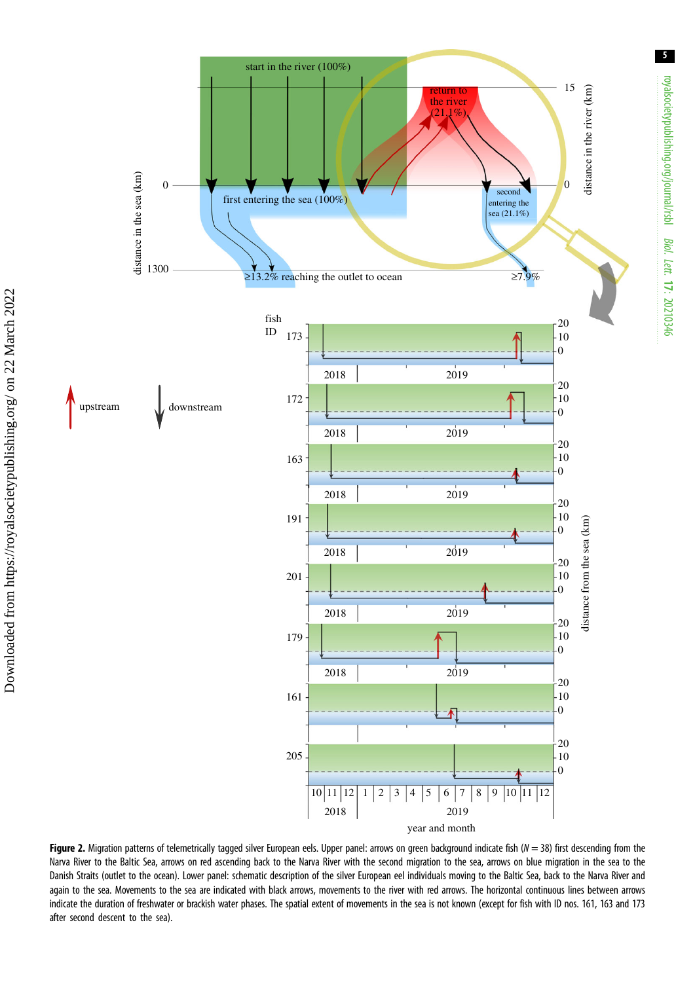<span id="page-4-0"></span>

Figure 2. Migration patterns of telemetrically tagged silver European eels. Upper panel: arrows on green background indicate fish ( $N = 38$ ) first descending from the Narva River to the Baltic Sea, arrows on red ascending back to the Narva River with the second migration to the sea, arrows on blue migration in the sea to the Danish Straits (outlet to the ocean). Lower panel: schematic description of the silver European eel individuals moving to the Baltic Sea, back to the Narva River and again to the sea. Movements to the sea are indicated with black arrows, movements to the river with red arrows. The horizontal continuous lines between arrows indicate the duration of freshwater or brackish water phases. The spatial extent of movements in the sea is not known (except for fish with ID nos. 161, 163 and 173 after second descent to the sea).

5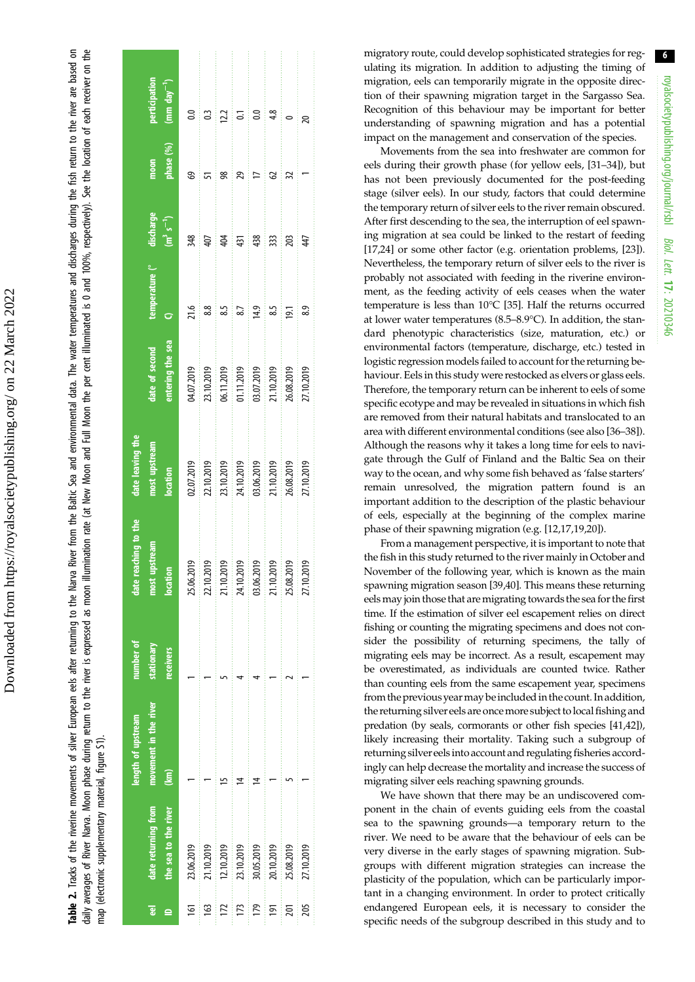<span id="page-5-0"></span>daily averages of River Narva. Moon phase during return to the niver is expressed as moon illumination rate (at New Moon and Full Moon the per cent illuminated is 0 and 100%, respectively). See the location of each receive Table 2. Tracks of the riverine movements of silver European eels after returning to the Narva River from the Baltic Sea and environmental data. The water temperatures and discharges during the fish return to the river are daily averages of River Narva. Moon phase during return to the moon the is expressed as moon illumination and Full Moon the per cent illuminated is 0 and 100%, respectively). See the location of each receiver on the Tracks of the riverine movements of silver European eels after returning to the Narva River from the Baltic Sea and environmental data. The water temperatures and discharges during the fish return to the river are based on map (electronic supplementary material, figure S1). map (electronic supplementary material, figure S1)

| ್ಲಾ              | date returning from<br>the sea to the river | movement in the river<br>length of upstream<br>$\widehat{\mathbf{g}}$ | number of<br>stationary<br>eceivers | eaching to the<br>location<br>most<br>date 1 | date leaving the<br>nost upstream<br>location                                    | ntering the sea<br>late of second                                                | temperature (° | discharge<br>$(m^3 s^{-1})$ | phase (%)<br>moon | perticipation<br>$(mm day-1)$ |
|------------------|---------------------------------------------|-----------------------------------------------------------------------|-------------------------------------|----------------------------------------------|----------------------------------------------------------------------------------|----------------------------------------------------------------------------------|----------------|-----------------------------|-------------------|-------------------------------|
| <u>ভ</u>         | 23.06.2019                                  |                                                                       |                                     | 25.06.2019                                   |                                                                                  |                                                                                  | 21.6           | 348                         | ඉ                 | $\overline{0}$ .              |
| ള                | !1.10.2019                                  |                                                                       |                                     | 22.10.2019<br>i<br>I<br>I                    | 02.07.2019<br>22.10.2019<br>23.10.2019<br>24.10.2019<br>03.06.2019<br>25.08.2019 | 04,07,2019<br>23,10,2019<br>06,11,2019<br>01,11,2019<br>21,10,2019<br>25,08,2019 | 88             | 407                         |                   | $\ddot{0}$                    |
|                  | 12.10.2019                                  |                                                                       |                                     | 21.10.2019<br>i i i i i i i                  |                                                                                  |                                                                                  | 8.5            | 404                         |                   | 122                           |
| Ë                | 23.10.2019                                  |                                                                       |                                     | 24.10.2019                                   |                                                                                  |                                                                                  | 8.7            | 431                         |                   | 5                             |
| <b>P4</b>        | 80.05.2019                                  |                                                                       |                                     | 03.06.2019                                   |                                                                                  |                                                                                  | 14.9           | 438                         |                   | S                             |
| $\overline{191}$ | 20.10.2019                                  |                                                                       |                                     | 21.10.2019                                   |                                                                                  |                                                                                  | ូ<br>ន         | 333                         |                   | 4.8                           |
| 201              | 25.08.2019                                  |                                                                       |                                     | 25.08.2019                                   |                                                                                  |                                                                                  | 19.1           | 203                         |                   |                               |
| 205              | 27.10.2019                                  |                                                                       |                                     | 27.10.2019                                   |                                                                                  |                                                                                  | 8.9            | 47                          |                   | 20                            |
|                  |                                             |                                                                       |                                     |                                              |                                                                                  |                                                                                  |                |                             |                   |                               |

migratory route, could develop sophisticated strategies for regulating its migration. In addition to adjusting the timing of migration, eels can temporarily migrate in the opposite direction of their spawning migration target in the Sargasso Sea. Recognition of this behaviour may be important for better understanding of spawning migration and has a potential impact on the management and conservation of the species.

Movements from the sea into freshwater are common for eels during their growth phase (for yellow eels, [\[31](#page-6-0) –[34\]](#page-7-0)), but has not been previously documented for the post-feeding stage (silver eels). In our study, factors that could determine the temporary return of silver eels to the river remain obscured. After first descending to the sea, the interruption of eel spawning migration at sea could be linked to the restart of feeding [[17,24\]](#page-6-0) or some other factor (e.g. orientation problems, [[23\]](#page-6-0)). Nevertheless, the temporary return of silver eels to the river is probably not associated with feeding in the riverine environment, as the feeding activity of eels ceases when the water temperature is less than 10°C [[35\]](#page-7-0). Half the returns occurred at lower water temperatures (8.5 –8.9°C). In addition, the standard phenotypic characteristics (size, maturation, etc.) or environmental factors (temperature, discharge, etc.) tested in logistic regression models failed to account for the returning behaviour. Eels in this study were restocked as elvers or glass eels. Therefore, the temporary return can be inherent to eels of some specific ecotype and may be revealed in situations in which fish are removed from their natural habitats and translocated to an area with different environmental conditions (see also [[36](#page-7-0) –[38\]](#page-7-0)). Although the reasons why it takes a long time for eels to navigate through the Gulf of Finland and the Baltic Sea on their way to the ocean, and why some fish behaved as 'false starters ' remain unresolved, the migration pattern found is an important addition to the description of the plastic behaviour of eels, especially at the beginning of the complex marine phase of their spawning migration (e.g. [\[12,17](#page-6-0),[19](#page-6-0),[20\]](#page-6-0)).

From a management perspective, it is important to note that the fish in this study returned to the river mainly in October and November of the following year, which is known as the main spawning migration season [\[39,40\]](#page-7-0). This means these returning eels may join those that are migrating towards the sea for the first time. If the estimation of silver eel escapement relies on direct fishing or counting the migrating specimens and does not consider the possibility of returning specimens, the tally of migrating eels may be incorrect. As a result, escapement may be overestimated, as individuals are counted twice. Rather than counting eels from the same escapement year, specimens from the previous year may be included in the count. In addition, the returning silver eels are oncemore subject tolocal fishing and predation (by seals, cormorants or other fish species [\[41,42\]](#page-7-0)), likely increasing their mortality. Taking such a subgroup of returning silver eels into account and regulating fisheries accordingly can help decrease the mortality and increase the success of migrating silver eels reaching spawning grounds.

We have shown that there may be an undiscovered component in the chain of events guiding eels from the coastal sea to the spawning grounds —a temporary return to the river. We need to be aware that the behaviour of eels can be very diverse in the early stages of spawning migration. Subgroups with different migration strategies can increase the plasticity of the population, which can be particularly important in a changing environment. In order to protect critically endangered European eels, it is necessary to consider the specific needs of the subgroup described in this study and to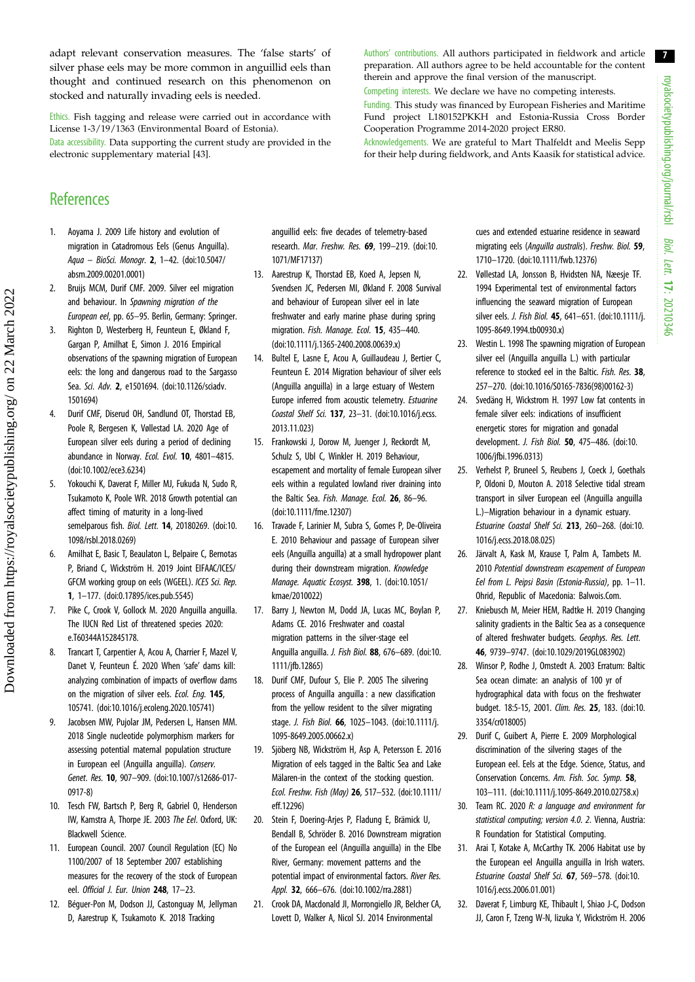7

<span id="page-6-0"></span>adapt relevant conservation measures. The 'false starts' of silver phase eels may be more common in anguillid eels than thought and continued research on this phenomenon on stocked and naturally invading eels is needed.

Ethics. Fish tagging and release were carried out in accordance with License 1-3/19/1363 (Environmental Board of Estonia).

Data accessibility. Data supporting the current study are provided in the electronic supplementary material [[43\]](#page-7-0).

#### Authors' contributions. All authors participated in fieldwork and article preparation. All authors agree to be held accountable for the content therein and approve the final version of the manuscript.

Competing interests. We declare we have no competing interests.

Funding. This study was financed by European Fisheries and Maritime Fund project L180152PKKH and Estonia-Russia Cross Border Cooperation Programme 2014-2020 project ER80.

Acknowledgements. We are grateful to Mart Thalfeldt and Meelis Sepp for their help during fieldwork, and Ants Kaasik for statistical advice.

## References

- 1. Aoyama J. 2009 Life history and evolution of migration in Catadromous Eels (Genus Anguilla). Aqua – BioSci. Monogr. 2, 1–42. [\(doi:10.5047/](http://dx.doi.org/10.5047/absm.2009.00201.0001) [absm.2009.00201.0001\)](http://dx.doi.org/10.5047/absm.2009.00201.0001)
- 2. Bruijs MCM, Durif CMF. 2009. Silver eel migration and behaviour. In Spawning migration of the European eel, pp. 65–95. Berlin, Germany: Springer.
- 3. Righton D, Westerberg H, Feunteun E, Økland F, Gargan P, Amilhat E, Simon J. 2016 Empirical observations of the spawning migration of European eels: the long and dangerous road to the Sargasso Sea. Sci. Adv. 2, e1501694. [\(doi:10.1126/sciadv.](http://dx.doi.org/10.1126/sciadv.1501694) [1501694\)](http://dx.doi.org/10.1126/sciadv.1501694)
- 4. Durif CMF, Diserud OH, Sandlund OT, Thorstad EB, Poole R, Bergesen K, Vøllestad LA. 2020 Age of European silver eels during a period of declining abundance in Norway. Ecol. Evol. 10, 4801–4815. [\(doi:10.1002/ece3.6234](http://dx.doi.org/10.1002/ece3.6234))
- 5. Yokouchi K, Daverat F, Miller MJ, Fukuda N, Sudo R, Tsukamoto K, Poole WR. 2018 Growth potential can affect timing of maturity in a long-lived semelparous fish. Biol. Lett. 14, 20180269. ([doi:10.](http://dx.doi.org/10.1098/rsbl.2018.0269) [1098/rsbl.2018.0269](http://dx.doi.org/10.1098/rsbl.2018.0269))
- 6. Amilhat E, Basic T, Beaulaton L, Belpaire C, Bernotas P, Briand C, Wickström H. 2019 Joint EIFAAC/ICES/ GFCM working group on eels (WGEEL). ICES Sci. Rep. 1, 1–177. [\(doi:0.17895/ices.pub.5545\)](http://dx.doi.org/0.17895/ices.pub.5545)
- 7. Pike C, Crook V, Gollock M. 2020 Anguilla anguilla. The IUCN Red List of threatened species 2020: e.T60344A152845178.
- 8. Trancart T, Carpentier A, Acou A, Charrier F, Mazel V, Danet V, Feunteun É. 2020 When 'safe' dams kill: analyzing combination of impacts of overflow dams on the migration of silver eels. Ecol. Eng. 145, 105741. [\(doi:10.1016/j.ecoleng.2020.105741](http://dx.doi.org/10.1016/j.ecoleng.2020.105741))
- 9. Jacobsen MW, Pujolar JM, Pedersen L, Hansen MM. 2018 Single nucleotide polymorphism markers for assessing potential maternal population structure in European eel (Anguilla anguilla). Conserv. Genet. Res. 10, 907–909. [\(doi:10.1007/s12686-017-](http://dx.doi.org/10.1007/s12686-017-0917-8) [0917-8](http://dx.doi.org/10.1007/s12686-017-0917-8))
- 10. Tesch FW, Bartsch P, Berg R, Gabriel O, Henderson IW, Kamstra A, Thorpe JE. 2003 The Eel. Oxford, UK: Blackwell Science.
- 11. European Council. 2007 Council Regulation (EC) No 1100/2007 of 18 September 2007 establishing measures for the recovery of the stock of European eel. Official J. Eur. Union 248, 17-23.
- 12. Béguer-Pon M, Dodson JJ, Castonguay M, Jellyman D, Aarestrup K, Tsukamoto K. 2018 Tracking

anguillid eels: five decades of telemetry-based research. Mar. Freshw. Res. 69, 199–219. [\(doi:10.](http://dx.doi.org/10.1071/MF17137) [1071/MF17137](http://dx.doi.org/10.1071/MF17137))

- 13. Aarestrup K, Thorstad EB, Koed A, Jepsen N, Svendsen JC, Pedersen MI, Økland F. 2008 Survival and behaviour of European silver eel in late freshwater and early marine phase during spring migration. Fish. Manage. Ecol. 15, 435-440. [\(doi:10.1111/j.1365-2400.2008.00639.x\)](http://dx.doi.org/10.1111/j.1365-2400.2008.00639.x)
- 14. Bultel E, Lasne E, Acou A, Guillaudeau J, Bertier C, Feunteun E. 2014 Migration behaviour of silver eels (Anguilla anguilla) in a large estuary of Western Europe inferred from acoustic telemetry. Estuarine Coastal Shelf Sci. 137, 23–31. ([doi:10.1016/j.ecss.](http://dx.doi.org/10.1016/j.ecss.2013.11.023) [2013.11.023\)](http://dx.doi.org/10.1016/j.ecss.2013.11.023)
- 15. Frankowski J, Dorow M, Juenger J, Reckordt M, Schulz S, Ubl C, Winkler H. 2019 Behaviour, escapement and mortality of female European silver eels within a regulated lowland river draining into the Baltic Sea. Fish. Manage. Ecol. 26, 86-96. [\(doi:10.1111/fme.12307\)](http://dx.doi.org/10.1111/fme.12307)
- 16. Travade F, Larinier M, Subra S, Gomes P, De-Oliveira E. 2010 Behaviour and passage of European silver eels (Anguilla anguilla) at a small hydropower plant during their downstream migration. Knowledge Manage. Aquatic Ecosyst. 398, 1. ([doi:10.1051/](http://dx.doi.org/10.1051/kmae/2010022) [kmae/2010022\)](http://dx.doi.org/10.1051/kmae/2010022)
- 17. Barry J, Newton M, Dodd JA, Lucas MC, Boylan P, Adams CE. 2016 Freshwater and coastal migration patterns in the silver-stage eel Anguilla anguilla. J. Fish Biol. 88, 676–689. [\(doi:10.](http://dx.doi.org/10.1111/jfb.12865) [1111/jfb.12865\)](http://dx.doi.org/10.1111/jfb.12865)
- 18. Durif CMF, Dufour S, Elie P. 2005 The silvering process of Anguilla anguilla : a new classification from the yellow resident to the silver migrating stage. J. Fish Biol. 66, 1025–1043. [\(doi:10.1111/j.](http://dx.doi.org/10.1111/j.1095-8649.2005.00662.x) [1095-8649.2005.00662.x\)](http://dx.doi.org/10.1111/j.1095-8649.2005.00662.x)
- 19. Sjöberg NB, Wickström H, Asp A, Petersson E. 2016 Migration of eels tagged in the Baltic Sea and Lake Mälaren-in the context of the stocking question. Ecol. Freshw. Fish (May) 26, 517–532. [\(doi:10.1111/](http://dx.doi.org/10.1111/eff.12296) [eff.12296\)](http://dx.doi.org/10.1111/eff.12296)
- 20. Stein F, Doering-Arjes P, Fladung E, Brämick U, Bendall B, Schröder B. 2016 Downstream migration of the European eel (Anguilla anguilla) in the Elbe River, Germany: movement patterns and the potential impact of environmental factors. River Res. Appl. 32, 666-676. [\(doi:10.1002/rra.2881\)](http://dx.doi.org/10.1002/rra.2881)
- 21. Crook DA, Macdonald JI, Morrongiello JR, Belcher CA, Lovett D, Walker A, Nicol SJ. 2014 Environmental

cues and extended estuarine residence in seaward migrating eels (Anguilla australis). Freshw. Biol. 59, 1710–1720. ([doi:10.1111/fwb.12376](http://dx.doi.org/10.1111/fwb.12376))

- 22. Vøllestad LA, Jonsson B, Hvidsten NA, Næesje TF. 1994 Experimental test of environmental factors influencing the seaward migration of European silver eels. J. Fish Biol. 45, 641-651. ([doi:10.1111/j.](http://dx.doi.org/10.1111/j.1095-8649.1994.tb00930.x) [1095-8649.1994.tb00930.x](http://dx.doi.org/10.1111/j.1095-8649.1994.tb00930.x))
- 23. Westin L. 1998 The spawning migration of European silver eel (Anguilla anguilla L.) with particular reference to stocked eel in the Baltic. Fish. Res. 38, 257–270. [\(doi:10.1016/S0165-7836\(98\)00162-3](http://dx.doi.org/10.1016/S0165-7836(98)00162-3))
- 24. Svedäng H, Wickstrom H. 1997 Low fat contents in female silver eels: indications of insufficient energetic stores for migration and gonadal development. J. Fish Biol. 50, 475–486. ([doi:10.](http://dx.doi.org/10.1006/jfbi.1996.0313) [1006/jfbi.1996.0313\)](http://dx.doi.org/10.1006/jfbi.1996.0313)
- 25. Verhelst P, Bruneel S, Reubens J, Coeck J, Goethals P, Oldoni D, Mouton A. 2018 Selective tidal stream transport in silver European eel (Anguilla anguilla L.)–Migration behaviour in a dynamic estuary. Estuarine Coastal Shelf Sci. 213, 260–268. ([doi:10.](http://dx.doi.org/10.1016/j.ecss.2018.08.025) [1016/j.ecss.2018.08.025](http://dx.doi.org/10.1016/j.ecss.2018.08.025))
- 26. Järvalt A, Kask M, Krause T, Palm A, Tambets M. 2010 Potential downstream escapement of European Eel from L. Peipsi Basin (Estonia-Russia), pp. 1–11. Ohrid, Republic of Macedonia: Balwois.Com.
- 27. Kniebusch M, Meier HEM, Radtke H. 2019 Changing salinity gradients in the Baltic Sea as a consequence of altered freshwater budgets. Geophys. Res. Lett. 46, 9739–9747. [\(doi:10.1029/2019GL083902\)](http://dx.doi.org/10.1029/2019GL083902)
- 28. Winsor P, Rodhe J, Omstedt A. 2003 Erratum: Baltic Sea ocean climate: an analysis of 100 yr of hydrographical data with focus on the freshwater budget. 18:5-15, 2001. Clim. Res. 25, 183. [\(doi:10.](http://dx.doi.org/10.3354/cr018005) [3354/cr018005\)](http://dx.doi.org/10.3354/cr018005)
- 29. Durif C, Guibert A, Pierre E. 2009 Morphological discrimination of the silvering stages of the European eel. Eels at the Edge. Science, Status, and Conservation Concerns. Am. Fish. Soc. Symp. 58, 103–111. [\(doi:10.1111/j.1095-8649.2010.02758.x](http://dx.doi.org/10.1111/j.1095-8649.2010.02758.x))
- 30. Team RC. 2020 R: a language and environment for statistical computing; version 4.0. 2. Vienna, Austria: R Foundation for Statistical Computing.
- 31. Arai T, Kotake A, McCarthy TK. 2006 Habitat use by the European eel Anguilla anguilla in Irish waters. Estuarine Coastal Shelf Sci. 67, 569–578. [\(doi:10.](http://dx.doi.org/10.1016/j.ecss.2006.01.001) [1016/j.ecss.2006.01.001](http://dx.doi.org/10.1016/j.ecss.2006.01.001))
- 32. Daverat F, Limburg KE, Thibault I, Shiao J-C, Dodson JJ, Caron F, Tzeng W-N, Iizuka Y, Wickström H. 2006